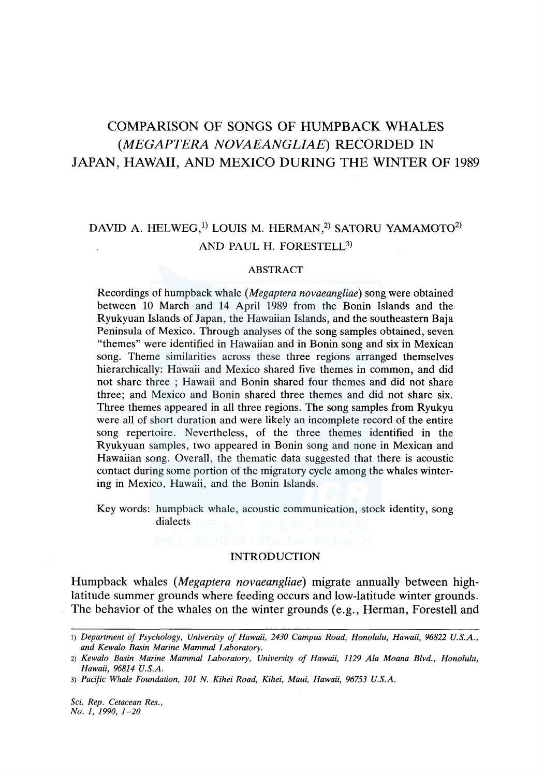# COMPARISON OF SONGS OF HUMPBACK WHALES (MEGAPTERA NOVAEANGLIAE) RECORDED IN JAPAN, HAWAII, AND MEXICO DURING THE WINTER OF 1989

## DAVID A. HELWEG, $^{1)}$  LOUIS M. HERMAN, $^{2)}$  SATORU YAMAMOTO $^{2)}$ AND PAUL H. FORESTELL<sup>3)</sup>

## ABSTRACT

Recordings of humpback whale *(Megaptera novaeangliae)* song were obtained between 10 March and 14 April 1989 from the Bonin Islands and the Ryukyuan Islands of Japan, the Hawaiian Islands, and the southeastern Baja Peninsula of Mexico. Through analyses of the song samples obtained, seven "themes" were identified in Hawaiian and in Bonin song and six in Mexican song. Theme similarities across these three regions arranged themselves hierarchically: Hawaii and Mexico shared five themes in common, and did not share three ; Hawaii and Bonin shared four themes and did not share three; and Mexico and Bonin shared three themes and did not share six. Three themes appeared in all three regions. The song samples from Ryukyu were all of short duration and were likely an incomplete record of the entire song repertoire. Nevertheless, of the three themes identified in the Ryukyuan samples, two appeared in Bonin song and none in Mexican and Hawaiian song. Overall, the thematic data suggested that there is acoustic contact during some portion of the migratory cycle among the whales wintering in Mexico, Hawaii, and the Bonin Islands.

Key words: humpback whale, acoustic communication, stock identity, song dialects

## INTRODUCTION

Humpback whales *(Megaptera novaeangliae)* migrate annually between highlatitude summer grounds where feeding occurs and low-latitude winter grounds. The behavior of the whales on the winter grounds (e.g., Herman, Forestell and

*Sci. Rep. Cetacean Res., No. 1, 1990, 1-20* 

I) *Department of Psychology, University of Hawaii, 2430 Campus Road, Honolulu, Hawaii, 96822 U.S.A., and Kewalo Basin Marine Mammal Laboratory.* 

<sup>2)</sup> *Kewalo Basin Marine Mammal Laboratory, University of Hawaii, 1129 Ala Moana Blvd., Honolulu, Hawaii, 96814 U.S.A.* 

<sup>3)</sup> *Pacific Whale Foundation, 101 N. Kihei Road, Kihei, Maui, Hawaii, 96753 U.S.A.*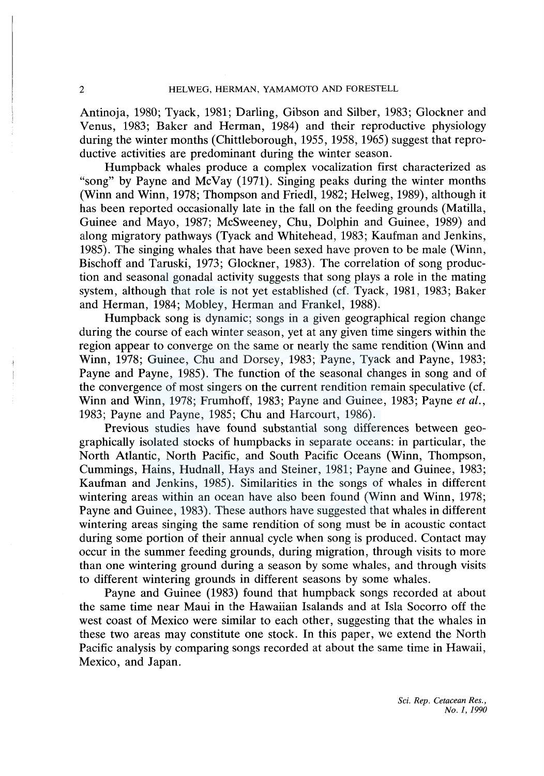Antinoja, 1980; Tyack, 1981; Darling, Gibson and Silber, 1983; Glockner and Venus, 1983; Baker and Herman, 1984) and their reproductive physiology during the winter months (Chittleborough, 1955, 1958, 1965) suggest that reproductive activities are predominant during the winter season.

Humpback whales produce a complex vocalization first characterized as "song" by Payne and McVay (1971). Singing peaks during the winter months (Winn and Winn, 1978; Thompson and Friedl, 1982; Helweg, 1989), although it has been reported occasionally late in the fall on the feeding grounds (Matilla, Guinee and Mayo, 1987; Mcsweeney, Chu, Dolphin and Guinee, 1989) and along migratory pathways (Tyack and Whitehead, 1983; Kaufman and Jenkins, 1985). The singing whales that have been sexed have proven to be male (Winn, Bischoff and Taruski, 1973; Glockner, 1983). The correlation of song production and seasonal gonadal activity suggests that song plays a role in the mating system, although that role is not yet established (cf. Tyack, 1981, 1983; Baker and Herman, 1984; Mobley, Herman and Frankel, 1988).

Humpback song is dynamic; songs in a given geographical region change during the course of each winter season, yet at any given time singers within the region appear to converge on the same or nearly the same rendition (Winn and Winn, 1978; Guinee, Chu and Dorsey, 1983; Payne, Tyack and Payne, 1983; Payne and Payne, 1985). The function of the seasonal changes in song and of the convergence of most singers on the current rendition remain speculative ( cf. Winn and Winn, 1978; Frumhoff, 1983; Payne and Guinee, 1983; Payne *et al.,*  1983; Payne and Payne, 1985; Chu and Harcourt, 1986).

Previous studies have found substantial song differences between geographically isolated stocks of humpbacks in separate oceans: in particular, the North Atlantic, North Pacific, and South Pacific Oceans (Winn, Thompson, Cummings, Hains, Hudnall, Hays and Steiner, 1981; Payne and Guinee, 1983; Kaufman and Jenkins, 1985). Similarities in the songs of whales in different wintering areas within an ocean have also been found (Winn and Winn, 1978; Payne and Guinee, 1983). These authors have suggested that whales in different wintering areas singing the same rendition of song must be in acoustic contact during some portion of their annual cycle when song is produced. Contact may occur in the summer feeding grounds, during migration, through visits to more than one wintering ground during a season by some whales, and through visits to different wintering grounds in different seasons by some whales.

Payne and Guinee (1983) found that humpback songs recorded at about the same time near Maui in the Hawaiian lsalands and at Isla Socorro off the west coast of Mexico were similar to each other, suggesting that the whales in these two areas may constitute one stock. In this paper, we extend the North Pacific analysis by comparing songs recorded at about the same time in Hawaii, Mexico, and Japan.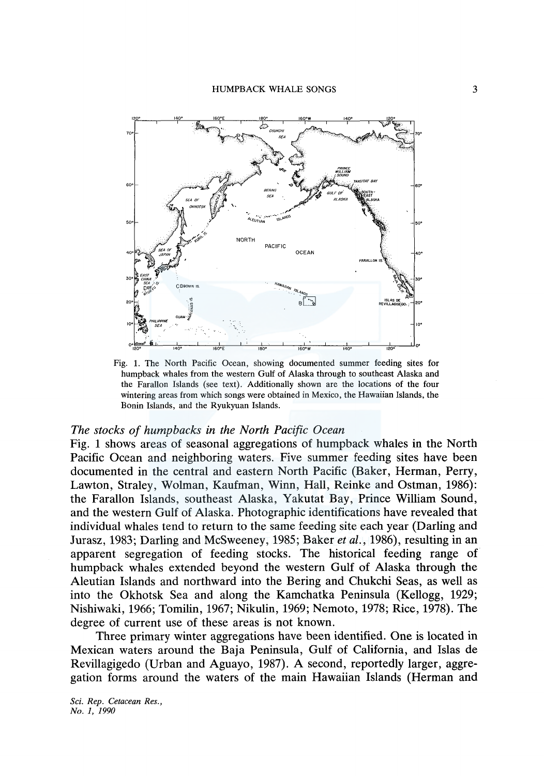

Fig. 1. The North Pacific Ocean, showing documented summer feeding sites for humpback whales from the western Gulf of Alaska through to southeast Alaska and the Farallon Islands (see text). Additionally shown are the locations of the four wintering areas from which songs were obtained in Mexico, the Hawaiian Islands, the Bonin Islands, and the Ryukyuan Islands.

## *The stocks of humpbacks in the North Pacific Ocean*

Fig. 1 shows areas of seasonal aggregations of humpback whales in the North Pacific Ocean and neighboring waters. Five summer feeding sites have been documented in the central and eastern North Pacific (Baker, Herman, Perry, Lawton, Straley, Wolman, Kaufman, Winn, Hall, Reinke and Ostman, 1986): the Farallon Islands, southeast Alaska, Yakutat Bay, Prince William Sound, and the western Gulf of Alaska. Photographic identifications have revealed that individual whales tend to return to the same feeding site each year (Darling and Jurasz, 1983; Darling and Mcsweeney, 1985; Baker *et al.,* 1986), resulting in an apparent segregation of feeding stocks. The historical feeding range of humpback whales extended beyond the western Gulf of Alaska through the Aleutian Islands and northward into the Bering and Chukchi Seas, as well as into the Okhotsk Sea and along the Kamchatka Peninsula (Kellogg, 1929; Nishiwaki, 1966; Tomilin, 1967; Nikulin, 1969; Nemoto, 1978; Rice, 1978). The degree of current use of these areas is not known.

Three primary winter aggregations have been identified. One is located in Mexican waters around the Baja Peninsula, Gulf of California, and Islas de Revillagigedo (Urban and Aguayo, 1987). A second, reportedly larger, aggregation forms around the waters of the main Hawaiian Islands (Herman and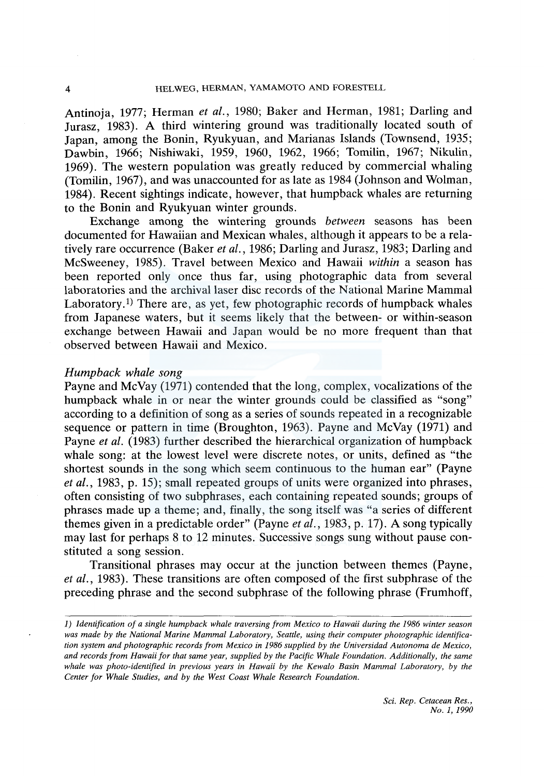Antinoja, 1977; Herman *et al.,* 1980; Baker and Herman, 1981; Darling and Jurasz, 1983). A third wintering ground was traditionally located south of Japan, among the Bonin, Ryukyuan, and Marianas Islands (Townsend, 1935; Dawbin, 1966; Nishiwaki, 1959, 1960, 1962, 1966; Tomilin, 1967; Nikulin, 1969). The western population was greatly reduced by commercial whaling (Tomilin, 1967), and was unaccounted for as late as 1984 (Johnson and Wolman, 1984). Recent sightings indicate, however, that humpback whales are returning to the Bonin and Ryukyuan winter grounds.

Exchange among the wintering grounds *between* seasons has been documented for Hawaiian and Mexican whales, although it appears to be a relatively rare occurrence (Baker *et al.,* 1986; Darling and Jurasz, 1983; Darling and Mcsweeney, 1985). Travel between Mexico and Hawaii *within* a season has been reported only once thus far, using photographic data from several laboratories and the archival laser disc records of the National Marine Mammal Laboratory.<sup>1)</sup> There are, as yet, few photographic records of humpback whales from Japanese waters, but it seems likely that the between- or within-season exchange between Hawaii and Japan would be no more frequent than that observed between Hawaii and Mexico.

## *Humpback whale song*

Payne and McVay (1971) contended that the long, complex, vocalizations of the humpback whale in or near the winter grounds could be classified as "song" according to a definition of song as a series of sounds repeated in a recognizable sequence or pattern in time (Broughton, 1963). Payne and McVay (1971) and Payne *et al.* (1983) further described the hierarchical organization of humpback whale song: at the lowest level were discrete notes, or units, defined as "the shortest sounds in the song which seem continuous to the human ear" (Payne *et al.,* 1983, p. 15); small repeated groups of units were organized into phrases, often consisting of two subphrases, each containing repeated sounds; groups of phrases made up a theme; and, finally, the song itself was "a series of different themes given in a predictable order" (Payne *et al.,* 1983, p. 17). A song typically may last for perhaps 8 to 12 minutes. Successive songs sung without pause constituted a song session.

Transitional phrases may occur at the junction between themes (Payne, *et al.,* 1983). These transitions are often composed of the first subphrase of the preceding phrase and the second subphrase of the following phrase (Frumhoff,

*<sup>1)</sup> Identification of a single humpback whale traversing from Mexico to Hawaii during the 1986 winter season was made by the National Marine Mammal Laboratory, Seattle, using their computer photographic identification system and photographic records from Mexico in 1986 supplied by the Universidad Autonoma de Mexico, and records from Hawaii for that same year, supplied by the Pacific Whale Foundation. Additionally, the same whale was photo-identified in previous years in Hawaii by the Kewalo Basin Mammal Laboratory, by the Center for Whale Studies, and by the West Coast Whale Research Foundation.*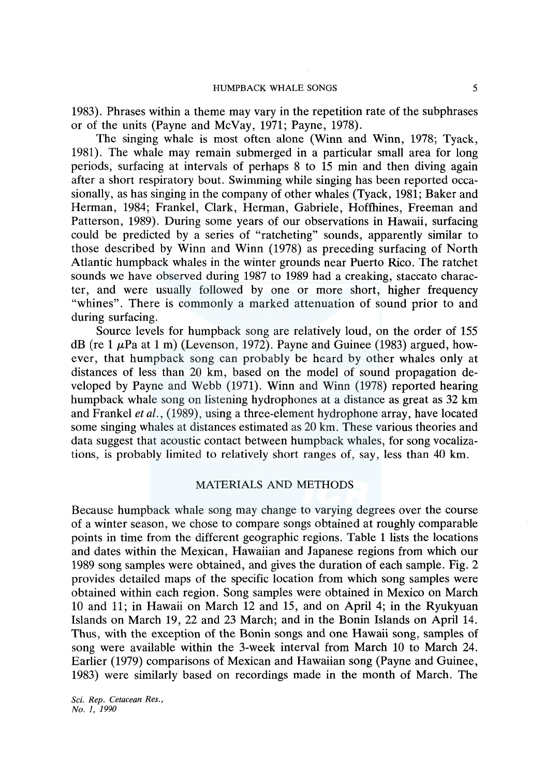1983). Phrases within a theme may vary in the repetition rate of the subphrases or of the units (Payne and McVay, 1971; Payne, 1978).

The singing whale is most often alone (Winn and Winn, 1978; Tyack, 1981). The whale may remain submerged in a particular small area for long periods, surfacing at intervals of perhaps 8 to 15 min and then diving again after a short respiratory bout. Swimming while singing has been reported occasionally, as has singing in the company of other whales (Tyack, 1981; Baker and Herman, 1984; Frankel, Clark, Herman, Gabriele, Hoffhines, Freeman and Patterson, 1989). During some years of our observations in Hawaii, surfacing could be predicted by a series of "ratcheting" sounds, apparently similar to those described by Winn and Winn (1978) as preceding surfacing of North Atlantic humpback whales in the winter grounds near Puerto Rico. The ratchet sounds we have observed during 1987 to 1989 had a creaking, staccato character, and were usually followed by one or more short, higher frequency "whines". There is commonly a marked attenuation of sound prior to and during surfacing.

Source levels for humpback song are relatively loud, on the order of 155 dB (re 1  $\mu$ Pa at 1 m) (Levenson, 1972). Payne and Guinee (1983) argued, however, that humpback song can probably be heard by other whales only at distances of less than 20 km, based on the model of sound propagation developed by Payne and Webb (1971). Winn and Winn (1978) reported hearing humpback whale song on listening hydrophones at a distance as great as 32 km and Frankel *et al.,* (1989), using a three-element hydrophone array, have located some singing whales at distances estimated as 20 km. These various theories and data suggest that acoustic contact between humpback whales, for song vocalizations, is probably limited to relatively short ranges of, say, less than 40 km.

## MATERIALS AND METHODS

Because humpback whale song may change to varying degrees over the course of a winter season, we chose to compare songs obtained at roughly comparable points in time from the different geographic regions. Table 1 lists the locations and dates within the Mexican, Hawaiian and Japanese regions from which our 1989 song samples were obtained, and gives the duration of each sample. Fig. 2 provides detailed maps of the specific location from which song samples were obtained within each region. Song samples were obtained in Mexico on March 10 and 11; in Hawaii on March 12 and 15, and on April 4; in the Ryukyuan Islands on March 19, 22 and 23 March; and in the Bonin Islands on April 14. Thus, with the exception of the Bonin songs and one Hawaii song, samples of song were available within the 3-week interval from March 10 to March 24. Earlier (1979) comparisons of Mexican and Hawaiian song (Payne and Guinee, 1983) were similarly based on recordings made in the month of March. The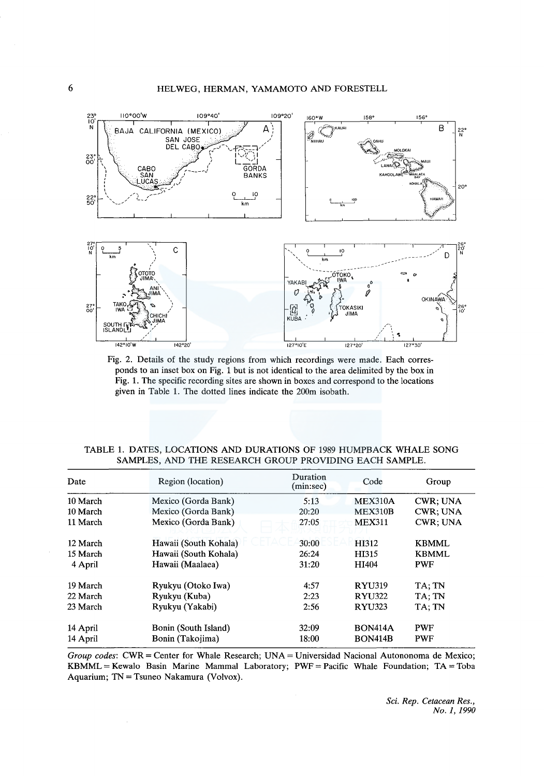

Fig. 2. Details of the study regions from which recordings were made. Each corresponds to an inset box on Fig. 1 but is not identical to the area delimited by the box in Fig. 1. The specific recording sites are shown in boxes and correspond to the locations given in Table 1. The dotted lines indicate the 200m isobath.

| TABLE 1. DATES. LOCATIONS AND DURATIONS OF 1989 HUMPBACK WHALE SONG |  |  |
|---------------------------------------------------------------------|--|--|
| SAMPLES, AND THE RESEARCH GROUP PROVIDING EACH SAMPLE.              |  |  |

| Date     | Region (location)     | Duration<br>(min:sec) | Code           | Group           |  |  |  |  |
|----------|-----------------------|-----------------------|----------------|-----------------|--|--|--|--|
| 10 March | Mexico (Gorda Bank)   | 5:13                  | <b>MEX310A</b> | <b>CWR: UNA</b> |  |  |  |  |
| 10 March | Mexico (Gorda Bank)   | 20:20                 | <b>MEX310B</b> | CWR; UNA        |  |  |  |  |
| 11 March | Mexico (Gorda Bank)   | 27:05                 | <b>MEX311</b>  | <b>CWR: UNA</b> |  |  |  |  |
| 12 March | Hawaii (South Kohala) | 30:00                 | HI312          | <b>KBMML</b>    |  |  |  |  |
| 15 March | Hawaii (South Kohala) | 26:24                 | HI315          | <b>KBMML</b>    |  |  |  |  |
| 4 April  | Hawaii (Maalaea)      | 31:20                 | HI404          | <b>PWF</b>      |  |  |  |  |
| 19 March | Ryukyu (Otoko Iwa)    | 4:57                  | <b>RYU319</b>  | TA: TN          |  |  |  |  |
| 22 March | Ryukyu (Kuba)         | 2:23                  | <b>RYU322</b>  | TA; TN          |  |  |  |  |
| 23 March | Ryukyu (Yakabi)       | 2:56                  | <b>RYU323</b>  | TA: TN          |  |  |  |  |
| 14 April | Bonin (South Island)  | 32:09                 | <b>BON414A</b> | <b>PWF</b>      |  |  |  |  |
| 14 April | Bonin (Takojima)      | 18:00                 | <b>BON414B</b> | <b>PWF</b>      |  |  |  |  |

Group codes: CWR = Center for Whale Research; UNA = Universidad Nacional Autononoma de Mexico; KBMML = Kewalo Basin Marine Mammal Laboratory; PWF = Pacific Whale Foundation; TA = Toba Aquarium; TN = Tsuneo Nakamura (Volvox).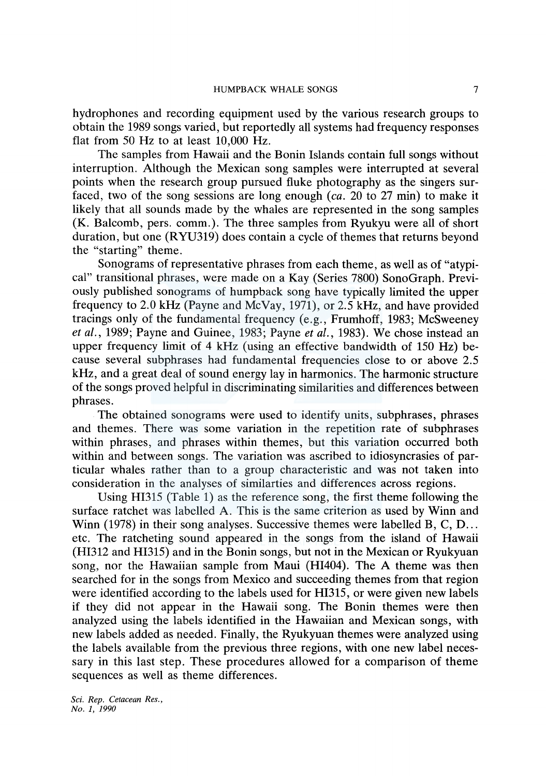hydrophones and recording equipment used by the various research groups to obtain the 1989 songs varied, but reportedly all systems had frequency responses flat from 50 Hz to at least 10,000 Hz.

The samples from Hawaii and the Bonin Islands contain full songs without interruption. Although the Mexican song samples were interrupted at several points when the research group pursued fluke photography as the singers surfaced, two of the song sessions are long enough *(ea.* 20 to 27 min) to make it likely that all sounds made by the whales are represented in the song samples (K. Balcomb, pers. comm.). The three samples from Ryukyu were all of short duration, but one (RYU319) does contain a cycle of themes that returns beyond the "starting" theme.

Sonograms of representative phrases from each theme, as well as of "atypical" transitional phrases, were made on a Kay (Series 7800) SonoGraph. Previously published sonograms of humpback song have typically limited the upper frequency to 2.0 kHz (Payne and McVay, 1971), or 2.5 kHz, and have provided tracings only of the fundamental frequency (e.g., Frumhoff, 1983; McSweeney *et al.,* 1989; Payne and Guinee, 1983; Payne *et al.,* 1983). We chose instead an upper frequency limit of 4 kHz (using an effective bandwidth of 150 Hz) because several subphrases had fundamental frequencies close to or above 2.5 kHz, and a great deal of sound energy lay in harmonics. The harmonic structure of the songs proved helpful in discriminating similarities and differences between phrases.

The obtained sonograms were used to identify units, subphrases, phrases and themes. There was some variation in the repetition rate of subphrases within phrases, and phrases within themes, but this variation occurred both within and between songs. The variation was ascribed to idiosyncrasies of particular whales rather than to a group characteristic and was not taken into consideration in the analyses of similarties and differences across regions.

Using HI315 (Table 1) as the reference song, the first theme following the surface ratchet was labelled A. This is the same criterion as used by Winn and Winn  $(1978)$  in their song analyses. Successive themes were labelled B, C, D... etc. The ratcheting sound appeared in the songs from the island of Hawaii (HI312 and HI315) and in the Bonin songs, but not in the Mexican or Ryukyuan song, nor the Hawaiian sample from Maui (HI404). The A theme was then searched for in the songs from Mexico and succeeding themes from that region were identified according to the labels used for HI315, or were given new labels if they did not appear in the Hawaii song. The Bonin themes were then analyzed using the labels identified in the Hawaiian and Mexican songs, with new labels added as needed. Finally, the Ryukyuan themes were analyzed using the labels available from the previous three regions, with one new label necessary in this last step. These procedures allowed for a comparison of theme sequences as well as theme differences.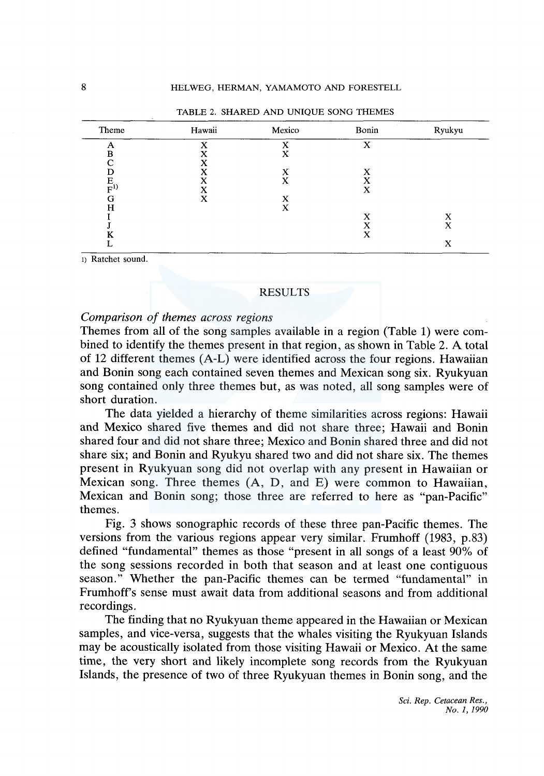| Theme                      | Hawaii | Mexico | Bonin | Ryukyu |
|----------------------------|--------|--------|-------|--------|
| Α                          | v      | X      | X     |        |
| в                          | x      | X      |       |        |
| $\sqrt{ }$                 | 7      |        |       |        |
| D                          | v      | х      | X     |        |
| $\frac{E}{F}$ <sup>1</sup> | v<br>л | x      | 7     |        |
|                            | v      |        | X     |        |
| G                          | x      | X      |       |        |
| Н                          |        | Х      |       |        |
|                            |        |        | x     | X      |
|                            |        |        |       | X      |
|                            |        |        | X     |        |
| L                          |        |        |       | X      |

TABLE 2. SHARED AND UNIQUE SONG THEMES

t) Ratchet sound.

#### RESULTS

## *Comparison of themes across regions*

Themes from all of the song samples available in a region (Table 1) were combined to identify the themes present in that region, as shown in Table 2. A total of 12 different themes (A-L) were identified across the four regions. Hawaiian and Bonin song each contained seven themes and Mexican song six. Ryukyuan song contained only three themes but, as was noted, all song samples were of short duration.

The data yielded a hierarchy of theme similarities across regions: Hawaii and Mexico shared five themes and did not share three; Hawaii and Bonin shared four and did not share three; Mexico and Bonin shared three and did not share six; and Bonin and Ryukyu shared two and did not share six. The themes present in Ryukyuan song did not overlap with any present in Hawaiian or Mexican song. Three themes (A, D, and E) were common to Hawaiian, Mexican and Bonin song; those three are referred to here as "pan-Pacific" themes.

Fig. 3 shows sonographic records of these three pan-Pacific themes. The versions from the various regions appear very similar. Frumhoff (1983, p.83) defined "fundamental" themes as those "present in all songs of a least 90% of the song sessions recorded in both that season and at least one contiguous season." Whether the pan-Pacific themes can be termed "fundamental" in Frumhoff's sense must await data from additional seasons and from additional recordings.

The finding that no Ryukyuan theme appeared in the Hawaiian or Mexican samples, and vice-versa, suggests that the whales visiting the Ryukyuan Islands may be acoustically isolated from those visiting Hawaii or Mexico. At the same time, the very short and likely incomplete song records from the Ryukyuan Islands, the presence of two of three Ryukyuan themes in Bonin song, and the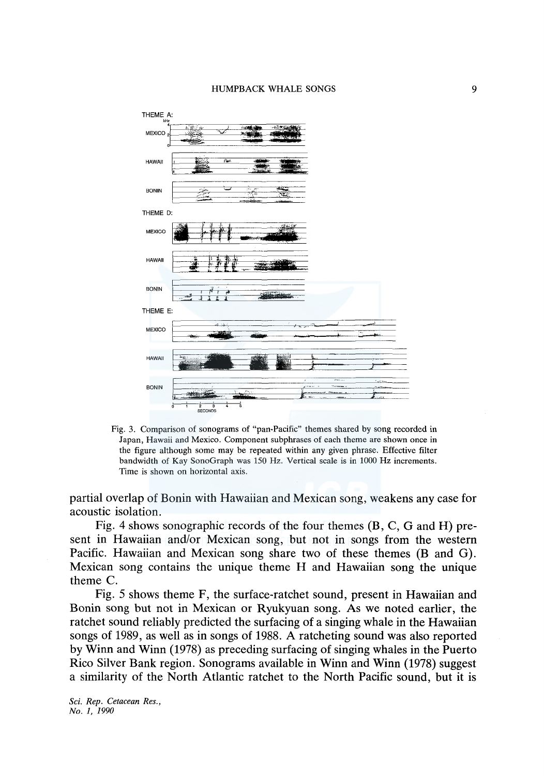



partial overlap of Bonin with Hawaiian and Mexican song, weakens any case for acoustic isolation.

Fig. 4 shows sonographic records of the four themes (B, C, G and H) present in Hawaiian and/or Mexican song, but not in songs from the western Pacific. Hawaiian and Mexican song share two of these themes (B and G). Mexican song contains the unique theme H and Hawaiian song the unique theme C.

Fig. 5 shows theme F, the surface-ratchet sound, present in Hawaiian and Bonin song but not in Mexican or Ryukyuan song. As we noted earlier, the ratchet sound reliably predicted the surfacing of a singing whale in the Hawaiian songs of 1989, as well as in songs of 1988. A ratcheting sound was also reported by Winn and Winn (1978) as preceding surfacing of singing whales in the Puerto Rico Silver Bank region. Sonograms available in Winn and Winn (1978) suggest a similarity of the North Atlantic ratchet to the North Pacific sound, but it is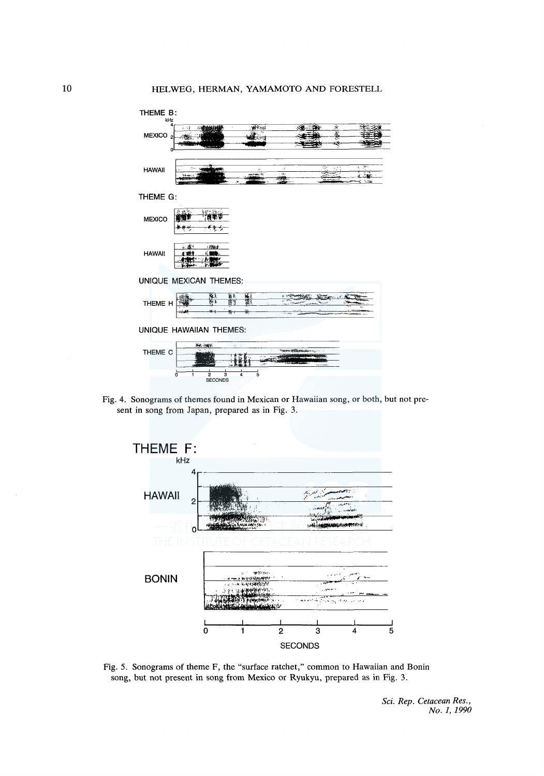

Fig. 4. Sonograms of themes found in Mexican or Hawaiian song, or both, but not pre· sent in song from Japan, prepared as in Fig. 3.



Fig. 5. Sonograms of theme F, the "surface ratchet," common to Hawaiian and Bonin song, but not present in song from Mexico or Ryukyu, prepared as in Fig. 3.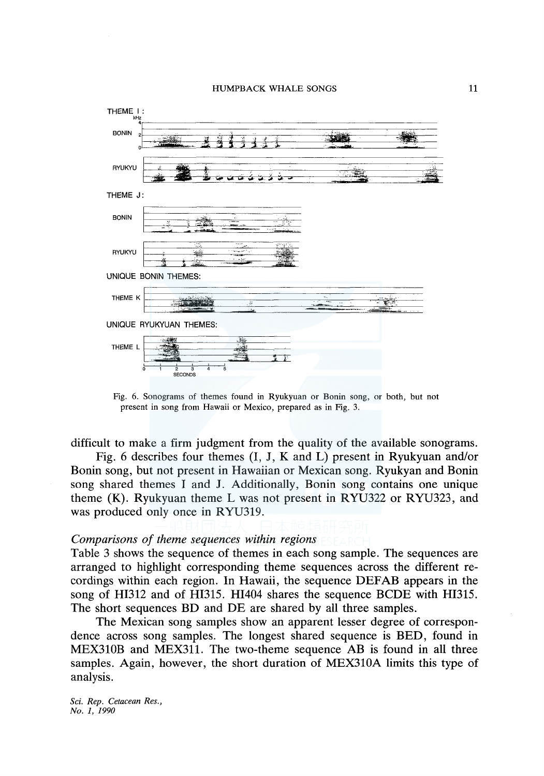

Fig. 6. Sonograms of themes found in Ryukyuan or Bonin song, or both, but not present in song from Hawaii or Mexico, prepared as in Fig. 3.

difficult to make a firm judgment from the quality of the available sonograms.

Fig. 6 describes four themes (I, J, K and L) present in Ryukyuan and/or Bonin song, but not present in Hawaiian or Mexican song. Ryukyan and Bonin song shared themes I and J. Additionally, Bonin song contains one unique theme (K). Ryukyuan theme L was not present in RYU322 or RYU323, and was produced only once in RYU319.

## *Comparisons of theme sequences within regions*

Table 3 shows the sequence of themes in each song sample. The sequences are arranged to highlight corresponding theme sequences across the different recordings within each region. In Hawaii, the sequence DEFAB appears in the song of Hl312 and of HI315. HI404 shares the sequence BCDE with HI315. The short sequences BD and DE are shared by all three samples.

The Mexican song samples show an apparent lesser degree of correspondence across song samples. The longest shared sequence is BED, found in MEX310B and MEX311. The two-theme sequence AB is found in all three samples. Again, however, the short duration of MEX310A limits this type of analysis.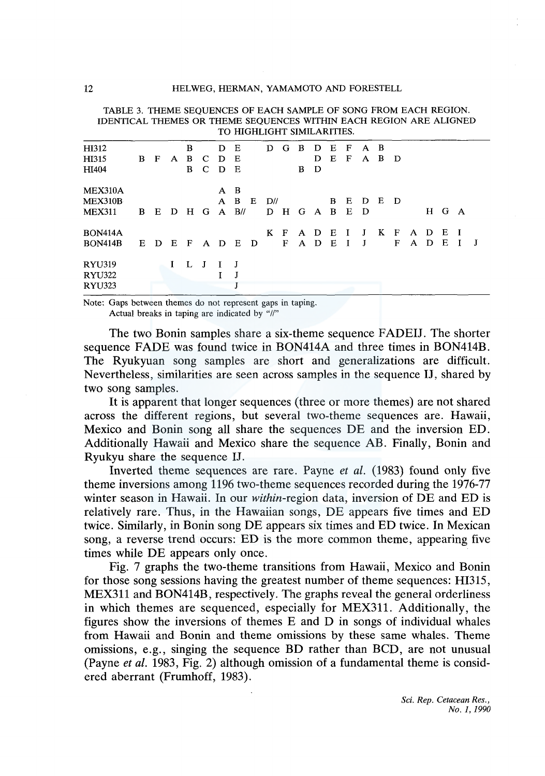| HI312                          |   |   |   | B            |   | D     | E                        |   | D       | G          | B | D           | Е  | F              | $\mathbf{A}$ | - B |     |     |    |   |   |     |
|--------------------------------|---|---|---|--------------|---|-------|--------------------------|---|---------|------------|---|-------------|----|----------------|--------------|-----|-----|-----|----|---|---|-----|
| HI315                          | в | F | A | B            | C | D     | - E                      |   |         |            |   | D           | E  | F              | $\mathbf{A}$ | B   | - D |     |    |   |   |     |
| HI404                          |   |   |   | В            | C | D     | E                        |   |         |            | В | D           |    |                |              |     |     |     |    |   |   |     |
| <b>MEX310A</b>                 |   |   |   |              |   | A B   |                          |   |         |            |   |             |    |                |              |     |     |     |    |   |   |     |
| <b>MEX310B</b>                 |   |   |   |              |   | A     | $\mathbf{B}$             | E | D/l     |            |   |             | B. | E.             | D            | E   | D   |     |    |   |   |     |
| <b>MEX311</b>                  | В | Е | D |              |   |       | $H$ G A B $\prime\prime$ |   |         |            |   | D H G A B E |    |                | - D          |     |     |     | H. | G | A |     |
| <b>BON414A</b>                 |   |   |   |              |   |       |                          |   | $K$ $F$ |            |   | A D E       |    | $\mathbf{I}$   | J            | K F |     | A D |    | E | л |     |
| <b>BON414B</b>                 | E | D | E | $\mathbf{F}$ |   | A D E |                          | D |         | $_{\rm F}$ |   | A D         | E  | $\blacksquare$ | J.           |     | F   | A   | D  | Е |   | - T |
| <b>RYU319</b><br><b>RYU322</b> |   |   | L | L            | J | Т     | $\blacksquare$<br>J      |   |         |            |   |             |    |                |              |     |     |     |    |   |   |     |
| <b>RYU323</b>                  |   |   |   |              |   |       | J                        |   |         |            |   |             |    |                |              |     |     |     |    |   |   |     |

TABLE 3. THEME SEQUENCES OF EACH SAMPLE OF SONG FROM EACH REGION. IDENTICAL THEMES OR THEME SEQUENCES WITHIN EACH REGION ARE ALIGNED TO HIGHLIGHT SIMILARITIES.

Note: Gaps between themes do not represent gaps in taping. Actual breaks in taping are indicated by "//"

The two Bonin samples share a six-theme sequence FADEIJ. The shorter sequence FADE was found twice in BON414A and three times in BON414B. The Ryukyuan song samples are short and generalizations are difficult. Nevertheless, similarities are seen across samples in the sequence IJ, shared by two song samples.

It is apparent that longer sequences (three or more themes) are not shared across the different regions, but several two-theme sequences are. Hawaii, Mexico and Bonin song all share the sequences DE and the inversion ED. Additionally Hawaii and Mexico share the sequence AB. Finally, Bonin and Ryukyu share the sequence IJ.

Inverted theme sequences are rare. Payne *et al.* (1983) found only five theme inversions among 1196 two-theme sequences recorded during the 1976-77 winter season in Hawaii. In our *within-region* data, inversion of DE and ED is relatively rare. Thus, in the Hawaiian songs, DE appears five times and ED twice. Similarly, in Bonin song DE appears six times and ED twice. In Mexican song, a reverse trend occurs: ED is the more common theme, appearing five times while DE appears only once.

Fig. 7 graphs the two-theme transitions from Hawaii, Mexico and Bonin for those song sessions having the greatest number of theme sequences: HI315, MEX311 and BON414B, respectively. The graphs reveal the general orderliness in which themes are sequenced, especially for MEX311. Additionally, the figures show the inversions of themes E and D in songs of individual whales from Hawaii and Bonin and theme omissions by these same whales. Theme omissions, e.g., singing the sequence BD rather than BCD, are not unusual (Payne *et al.* 1983, Fig. 2) although omission of a fundamental theme is considered aberrant (Frumhoff, 1983).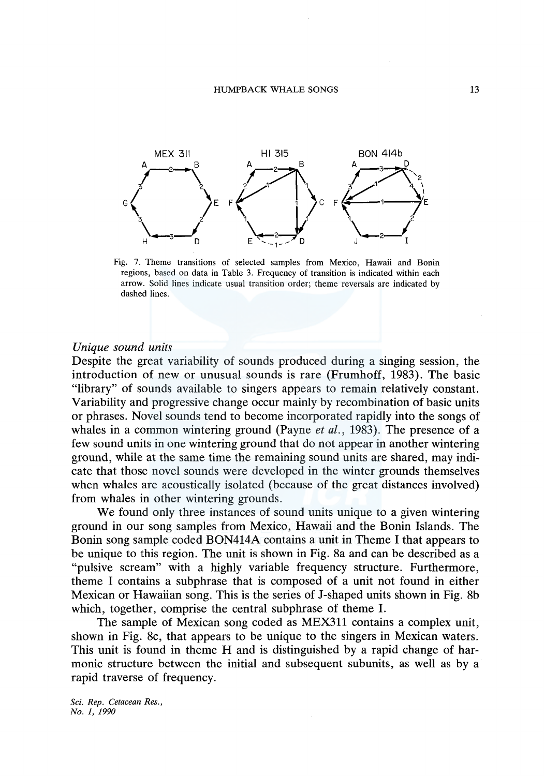

Fig. 7. Theme transitions of selected samples from Mexico, Hawaii and Bonin regions, based on data in Table 3. Frequency of transition is indicated within each arrow. Solid lines indicate usual transition order; theme reversals are indicated by dashed lines.

## *Unique sound units*

Despite the great variability of sounds produced during a singing session, the introduction of new or unusual sounds is rare (Frumhoff, 1983). The basic "library" of sounds available to singers appears to remain relatively constant. Variability and progressive change occur mainly by recombination of basic units or phrases. Novel sounds tend to become incorporated rapidly into the songs of whales in a common wintering ground (Payne *et al.*, 1983). The presence of a few sound units in one wintering ground that do not appear in another wintering ground, while at the same time the remaining sound units are shared, may indicate that those novel sounds were developed in the winter grounds themselves when whales are acoustically isolated (because of the great distances involved) from whales in other wintering grounds.

We found only three instances of sound units unique to a given wintering ground in our song samples from Mexico, Hawaii and the Bonin Islands. The Bonin song sample coded BON414A contains a unit in Theme I that appears to be unique to this region. The unit is shown in Fig. 8a and can be described as a "pulsive scream" with a highly variable frequency structure. Furthermore, theme I contains a subphrase that is composed of a unit not found in either Mexican or Hawaiian song. This is the series of J-shaped units shown in Fig. 8b which, together, comprise the central subphrase of theme I.

The sample of Mexican song coded as MEX311 contains a complex unit, shown in Fig. 8c, that appears to be unique to the singers in Mexican waters. This unit is found in theme H and is distinguished by a rapid change of harmonic structure between the initial and subsequent subunits, as well as by a rapid traverse of frequency.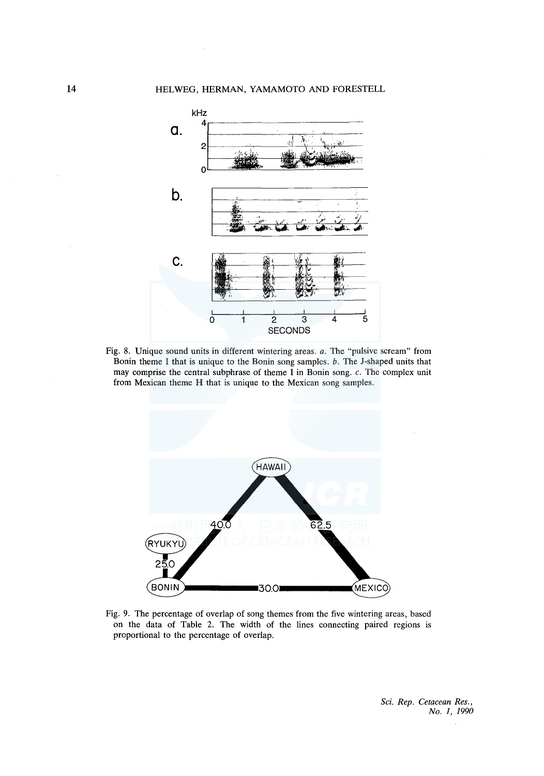

Fig. 8. Unique sound units in different wintering areas. *a.* The "pulsive scream" from Bonin theme I that is unique to the Bonin song samples. b. The J-shaped units that may comprise the central subphrase of theme I in Bonin song. c. The complex unit from Mexican theme H that is unique to the Mexican song samples.



Fig. 9. The percentage of overlap of song themes from the five wintering areas, based on the data of Table 2. The width of the lines connecting paired regions is proportional to the percentage of overlap.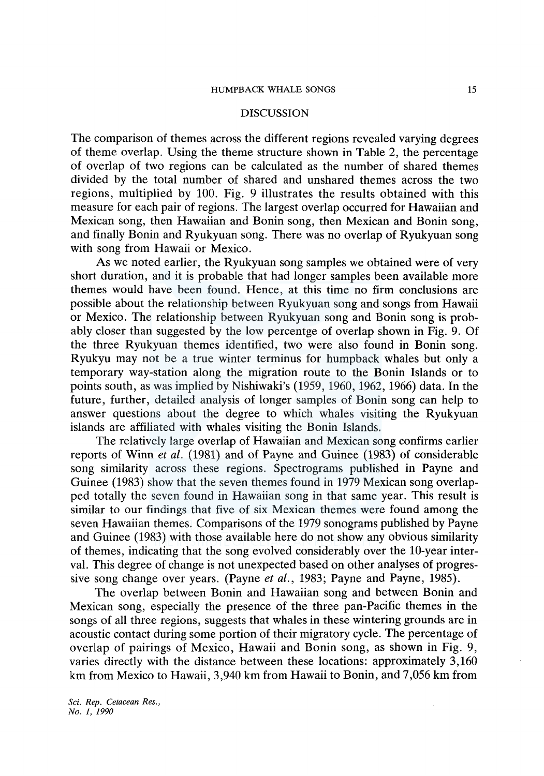### DISCUSSION

The comparison of themes across the different regions revealed varying degrees of theme overlap. Using the theme structure shown in Table 2, the percentage of overlap of two regions can be calculated as the number of shared themes divided by the total number of shared and unshared themes across the two regions, multiplied by 100. Fig. 9 illustrates the results obtained with this measure for each pair of regions. The largest overlap occurred for Hawaiian and Mexican song, then Hawaiian and Bonin song, then Mexican and Bonin song, and finally Bonin and Ryukyuan song. There was no overlap of Ryukyuan song with song from Hawaii or Mexico.

As we noted earlier, the Ryukyuan song samples we obtained were of very short duration, and it is probable that had longer samples been available more themes would have been found. Hence, at this time no firm conclusions are possible about the relationship between Ryukyuan song and songs from Hawaii or Mexico. The relationship between Ryukyuan song and Bonin song is probably closer than suggested by the low percentge of overlap shown in Fig. 9. Of the three Ryukyuan themes identified, two were also found in Bonin song. Ryukyu may not be a true winter terminus for humpback whales but only a temporary way-station along the migration route to the Bonin Islands or to points south, as was implied by Nishiwaki's (1959, 1960, 1962, 1966) data. In the future, further, detailed analysis of longer samples of Bonin song can help to answer questions about the degree to which whales visiting the Ryukyuan islands are affiliated with whales visiting the Bonin Islands.

The relatively large overlap of Hawaiian and Mexican song confirms earlier reports of Winn *et al.* (1981) and of Payne and Guinee (1983) of considerable song similarity across these regions. Spectrograms published in Payne and Guinee (1983) show that the seven themes found in 1979 Mexican song overlapped totally the seven found in Hawaiian song in that same year. This result is similar to our findings that five of six Mexican themes were found among the seven Hawaiian themes. Comparisons of the 1979 sonograms published by Payne and Guinee (1983) with those available here do not show any obvious similarity of themes, indicating that the song evolved considerably over the 10-year interval. This degree of change is not unexpected based on other analyses of progressive song change over years. (Payne *et al.,* 1983; Payne and Payne, 1985).

The overlap between Bonin and Hawaiian song and between Bonin and Mexican song, especially the presence of the three pan-Pacific themes in the songs of all three regions, suggests that whales in these wintering grounds are in acoustic contact during some portion of their migratory cycle. The percentage of overlap of pairings of Mexico, Hawaii and Bonin song, as shown in Fig. 9, varies directly with the distance between these locations: approximately 3,160 km from Mexico to Hawaii, 3 ,940 km from Hawaii to Bonin, and 7 ,056 km from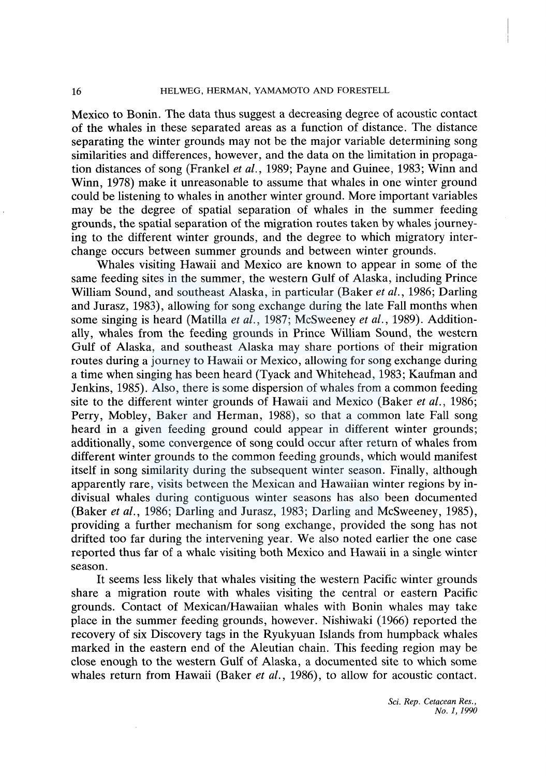Mexico to Bonin. The data thus suggest a decreasing degree of acoustic contact of the whales in these separated areas as a function of distance. The distance separating the winter grounds may not be the major variable determining song similarities and differences, however, and the data on the limitation in propagation distances of song (Frankel *et al.,* 1989; Payne and Guinee, 1983; Winn and Winn, 1978) make it unreasonable to assume that whales in one winter ground could be listening to whales in another winter ground. More important variables may be the degree of spatial separation of whales in the summer feeding grounds, the spatial separation of the migration routes taken by whales journeying to the different winter grounds, and the degree to which migratory interchange occurs between summer grounds and between winter grounds.

Whales visiting Hawaii and Mexico are known to appear in some of the same feeding sites in the summer, the western Gulf of Alaska, including Prince William Sound, and southeast Alaska, in particular (Baker *et al.,* 1986; Darling and Jurasz, 1983), allowing for song exchange during the late Fall months when some singing is heard (Matilla *et al.,* 1987; Mcsweeney *et al.,* 1989). Additionally, whales from the feeding grounds in Prince William Sound, the western Gulf of Alaska, and southeast Alaska may share portions of their migration routes during a journey to Hawaii or Mexico, allowing for song exchange during a time when singing has been heard (Tyack and Whitehead, 1983; Kaufman and Jenkins, 1985). Also, there is some dispersion of whales from a common feeding site to the different winter grounds of Hawaii and Mexico (Baker *et al.,* 1986; Perry, Mobley, Baker and Herman, 1988), so that a common late Fall song heard in a given feeding ground could appear in different winter grounds; additionally, some convergence of song could occur after return of whales from different winter grounds to the common feeding grounds, which would manifest itself in song similarity during the subsequent winter season. Finally, although apparently rare, visits between the Mexican and Hawaiian winter regions by indivisual whales during contiguous winter seasons has also been documented (Baker *et al.,* 1986; Darling and Jurasz, 1983; Darling and McSweeney, 1985), providing a further mechanism for song exchange, provided the song has not drifted too far during the intervening year. We also noted earlier the one case reported thus far of a whale visiting both Mexico and Hawaii in a single winter season.

It seems less likely that whales visiting the western Pacific winter grounds share a migration route with whales visiting the central or eastern Pacific grounds. Contact of Mexican/Hawaiian whales with Bonin whales may take place in the summer feeding grounds, however. Nishiwaki (1966) reported the recovery of six Discovery tags in the Ryukyuan Islands from humpback whales marked in the eastern end of the Aleutian chain. This feeding region may be close enough to the western Gulf of Alaska, a documented site to which some whales return from Hawaii (Baker *et al.,* 1986), to allow for acoustic contact.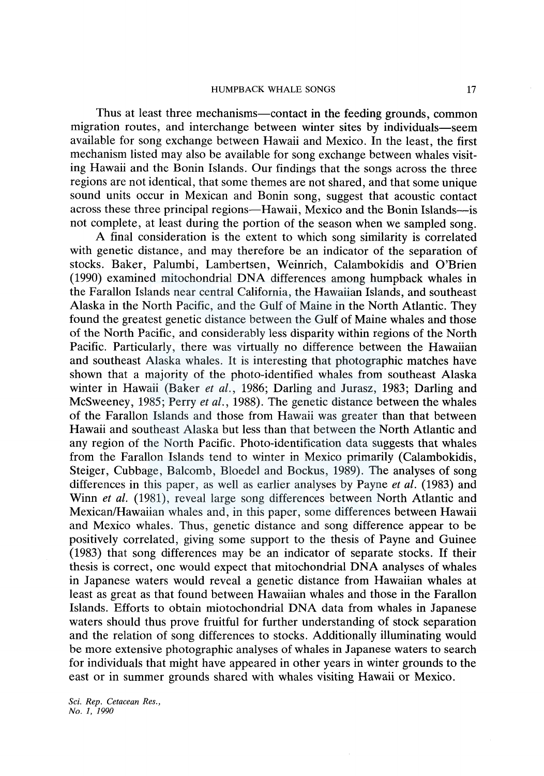Thus at least three mechanisms—contact in the feeding grounds, common migration routes, and interchange between winter sites by individuals-seem available for song exchange between Hawaii and Mexico. In the least, the first mechanism listed may also be available for song exchange between whales visiting Hawaii and the Bonin Islands. Our findings that the songs across the three regions are not identical, that some themes are not shared, and that some unique sound units occur in Mexican and Bonin song, suggest that acoustic contact across these three principal regions—Hawaii, Mexico and the Bonin Islands—is not complete, at least during the portion of the season when we sampled song.

A final consideration is the extent to which song similarity is correlated with genetic distance, and may therefore be an indicator of the separation of stocks. Baker, Palumbi, Lambertsen, Weinrich, Calambokidis and O'Brien (1990) examined mitochondrial DNA differences among humpback whales in the Farallon Islands near central California, the Hawaiian Islands, and southeast Alaska in the North Pacific, and the Gulf of Maine in the North Atlantic. They found the greatest genetic distance between the Gulf of Maine whales and those of the North Pacific, and considerably less disparity within regions of the North Pacific. Particularly, there was virtually no difference between the Hawaiian and southeast Alaska whales. It is interesting that photographic matches have shown that a majority of the photo-identified whales from southeast Alaska winter in Hawaii (Baker *et al.,* 1986; Darling and Jurasz, 1983; Darling and Mcsweeney, 1985; Perry *et al.,* 1988). The genetic distance between the whales of the Farallon Islands and those from Hawaii was greater than that between Hawaii and southeast Alaska but less than that between the North Atlantic and any region of the North Pacific. Photo-identification data suggests that whales from the Farallon Islands tend to winter in Mexico primarily (Calambokidis, Steiger, Cubbage, Balcomb, Bloedel and Bockus, 1989). The analyses of song differences in this paper, as well as earlier analyses by Payne *et al.* (1983) and Winn *et al.* (1981), reveal large song differences between North Atlantic and Mexican/Hawaiian whales and, in this paper, some differences between Hawaii and Mexico whales. Thus, genetic distance and song difference appear to be positively correlated, giving some support to the thesis of Payne and Guinee (1983) that song differences may be an indicator of separate stocks. If their thesis is correct, one would expect that mitochondrial DNA analyses of whales in Japanese waters would reveal a genetic distance from Hawaiian whales at least as great as that found between Hawaiian whales and those in the Farallon Islands. Efforts to obtain miotochondrial DNA data from whales in Japanese waters should thus prove fruitful for further understanding of stock separation and the relation of song differences to stocks. Additionally illuminating would be more extensive photographic analyses of whales in Japanese waters to search for individuals that might have appeared in other years in winter grounds to the east or in summer grounds shared with whales visiting Hawaii or Mexico.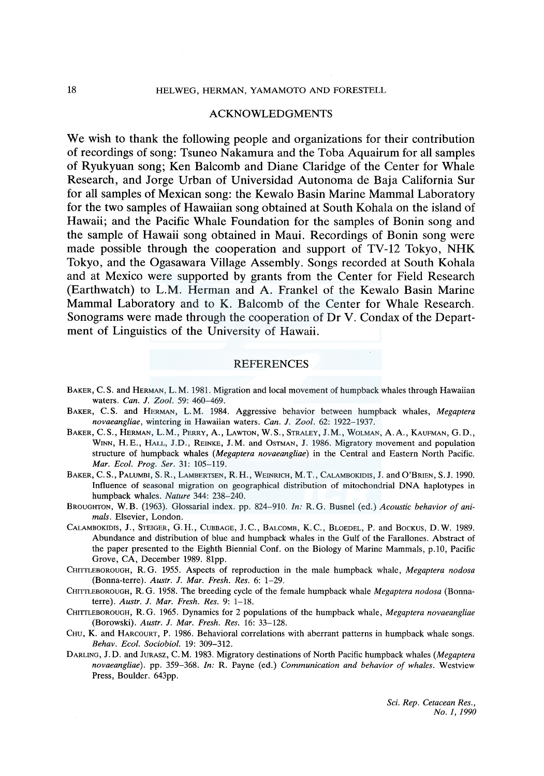## ACKNOWLEDGMENTS

We wish to thank the following people and organizations for their contribution of recordings of song: Tsuneo Nakamura and the Toba Aquairum for all samples of Ryukyuan song; Ken Balcomb and Diane Claridge of the Center for Whale Research, and Jorge Urban of Universidad Autonoma de Baja California Sur for all samples of Mexican song: the Kewalo Basin Marine Mammal Laboratory for the two samples of Hawaiian song obtained at South Kohala on the island of Hawaii; and the Pacific Whale Foundation for the samples of Bonin song and the sample of Hawaii song obtained in Maui. Recordings of Bonin song were made possible through the cooperation and support of TV-12 Tokyo, NHK Tokyo, and the Ogasawara Village Assembly. Songs recorded at South Kohala and at Mexico were supported by grants from the Center for Field Research (Earthwatch) to L.M. Herman and A. Frankel of the Kewalo Basin Marine Mammal Laboratory and to K. Balcomb of the Center for Whale Research. Sonograms were made through the cooperation of Dr V. Condax of the Department of Linguistics of the University of Hawaii.

## **REFERENCES**

- BAKER, C. S. and HERMAN, L. M. 1981. Migration and local movement of humpback whales through Hawaiian waters. *Can.* J. *Zool.* 59: 460-469.
- BAKER, C. S. and HERMAN, L. M. 1984. Aggressive behavior between humpback whales, *Megaptera novaeangliae,* wintering in Hawaiian waters. *Can.* J. *Zoo[.* 62: 1922-1937.
- BAKER, C.S., HERMAN, L.M., PERRY, A., LAWTON, W.S., STRALEY, J.M., WOLMAN, A.A., KAUFMAN, G.D., WINN, H.E., HALL, J.D., REINKE, J.M. and OsTMAN, J. 1986. Migratory movement and population structure of humpback whales *(Megaptera novaeangliae)* in the Central and Eastern North Pacific. *Mar. Ecol. Prog. Ser.* 31: 105-119.
- BAKER, C.S., PALUMBI, S.R., LAMBERTSEN, R.H., WEINRICH, M.T., CALAMBOKIDIS, J. and O'BRIEN, S.J. 1990. Influence of seasonal migration on geographical distribution of mitochondrial DNA haplotypes in humpback whales. *Nature* 344: 238-240.
- BROUGHTON, W. B. (1963). Glossarial index. pp. 824-910. *In:* R. G. Busnel (ed.) *Acoustic behavior of animals.* Elsevier, London.
- CALAMBOKIDIS, J., STEIGER, G.H., CUBBAGE, J.C., BALCOMB, K.C., BLOEDEL, P. and BocKUS, D.W. 1989. Abundance and distribution of blue and humpback whales in the Gulf of the Farallones. Abstract of the paper presented to the Eighth Biennial Conf. on the Biology of Marine Mammals, p.10, Pacific Grove, CA, December 1989. 81pp.
- CHITTLEBOROUGH, R. G. 1955. Aspects of reproduction in the male humpback whale, *Megaptera nodosa*  (Bonna-terre). *Austr.* J. *Mar. Fresh. Res.* 6: 1-29.
- CHITTLEBOROUGH, R. G. 1958. The breeding cycle of the female humpback whale *Megaptera nodosa* (Bonnaterre). *Austr.* J. *Mar. Fresh. Res.* 9: 1-18.
- CHITTLEBOROUGH, R. G. 1965. Dynamics for 2 populations of the humpback whale, *Megaptera novaeangliae*  (Borowski). *Austr.* J. *Mar. Fresh. Res.* 16: 33-128.
- CHU, K. and HARCOURT, P. 1986. Behavioral correlations with aberrant patterns in humpback whale songs. *Behav. Ecol. Sociobiol.* 19: 309-312.
- DARLING, J. D. and JuRASZ, C. M. 1983. Migratory destinations of North Pacific humpback whales *(Megaptera novaeangliae).* pp. 359-368. *In:* R. Payne (ed.) *Communication and behavior of whales.* Westview Press, Boulder. 643pp.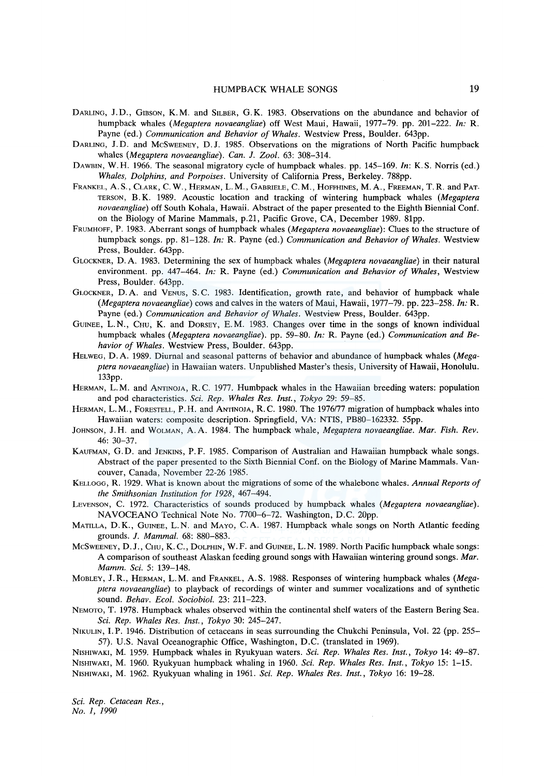- DARLING, J.D., GIBSON, K.M. and SILBER, G.K. 1983. Observations on the abundance and behavior of humpback whales *(Megaptera novaeangliae)* off West Maui, Hawaii, 1977-79. pp. 201-222. *In:* R. Payne (ed.) *Communication and Behavior of Whales.* Westview Press, Boulder. 643pp.
- DARLING, J.D. and McSwEENEY, D.J. 1985. Observations on the migrations of North Pacific humpback whales *(Megaptera novaeangliae). Can.* J. *Zool.* 63: 308-314.
- DAWBIN, W.H. 1966. The seasonal migratory cycle of humpback whales. pp. 145-169. *In:* K.S. Norris (ed.) *Whales, Dolphins, and Porpoises.* University of California Press, Berkeley. 788pp.
- FRANKEL, A.S., CLARK, C. W., HERMAN, L. M., GABRIELE, C. M., HOFFHINES, M. A., FREEMAN, T. R. and PAT-TERSON, B. K. 1989. Acoustic location and tracking of wintering humpback whales *(Megaptera novaeangliae)* off South Kohala, Hawaii. Abstract of the paper presented to the Eighth Biennial Conf. on the Biology of Marine Mammals, p.21, Pacific Grove, CA, December 1989. 81pp.
- FRUMHOFF, P. 1983. Aberrant songs of humpback whales *(Megaptera novaeangliae):* Clues to the structure of humpback songs. pp. 81-128. In: R. Payne (ed.) *Communication and Behavior of Whales.* Westview Press, Boulder. 643pp.
- GLOCKNER, D. A. 1983. Determining the sex of humpback whales *(Megaptera novaeangliae)* in their natural environment. pp. 447-464. *In:* R. Payne (ed.) *Communication and Behavior of Whales,* Westview Press, Boulder. 643pp.
- GLOCKNER, D.A. and VENUS, S.C. 1983. Identification, growth rate, and behavior of humpback whale *(Megaptera novaeangliae)* cows and calves in the waters of Maui, Hawaii, 1977-79. pp. 223-258. *In:* R. Payne (ed.) *Communication and Behavior of Whales.* Westview Press, Boulder. 643pp.
- GUINEE, L.N., CHU, K. and DORSEY, E.M. 1983. Changes over time in the songs of known individual humpback whales *(Megaptera novaeangliae).* pp. 59-80. *In:* R. Payne (ed.) *Communication and Behavior of Whales.* Westview Press, Boulder. 643pp.
- HELWEG, D. A. 1989. Diurnal and seasonal patterns of behavior and abundance of humpback whales *(Megaptera novaeangliae)* in Hawaiian waters. Unpublished Master's thesis, University of Hawaii, Honolulu. 133pp.
- HERMAN, L.M. and ANTINOJA, R.C. 1977. Humbpack whales in the Hawaiian breeding waters: population and pod characteristics. *Sci. Rep. Whales Res. Inst., Tokyo* 29: 59-85.
- HERMAN, L.M., FORESTELL, P.H. and ANTINOJA, R.C. 1980. The 1976/77 migration of humpback whales into Hawaiian waters: composite description. Springfield, VA: NTIS, PB80-162332. 55pp.
- JOHNSON, J.H. and WOLMAN, A.A. 1984. The humpback whale, *Megaptera novaeangliae. Mar. Fish. Rev.*  46: 30-37.
- KAUFMAN, G.D. and JENKINS, P.F. 1985. Comparison of Australian and Hawaiian humpback whale songs. Abstract of the paper presented to the Sixth Biennial Conf. on the Biology of Marine Mammals. Vancouver, Canada, November 22-26 1985.
- KELLOGG, R. 1929. What is known about the migrations of some of the whalebone whales. *Annual Reports of the Smithsonian Institution for 1928,* 467-494.
- LEVENSON, C. 1972. Characteristics of sounds produced by humpback whales *(Megaptera novaeangliae).*  NAVOCEANO Technical Note No. 7700-6-72. Washington, D.C. 20pp.
- MATILLA, D.K., GUINEE, L.N. and MAYO, C.A. 1987. Humpback whale songs on North Atlantic feeding grounds. J. *Mammal.* 68: 880-883.
- McSwEENEY, D.J., CHU, K.C., DOLPHIN, W.F. and GUINEE, L.N. 1989. North Pacific humpback whale songs: A comparison of southeast Alaskan feeding ground songs with Hawaiian wintering ground songs. *Mar. Mamm. Sci.* 5: 139-148.
- MoBLEY, J.R., HERMAN, L.M. and FRANKEL, A.S. 1988. Responses of wintering humpback whales *(Megaptera novaeangliae)* to playback of recordings of winter and summer vocalizations and of synthetic sound. *Behav. Ecol. Sociobiol.* 23: 211-223.
- NEMOTO, T. 1978. Humpback whales observed within the continental shelf waters of the Eastern Bering Sea. *Sci. Rep. Whales Res. Inst., Tokyo* 30: 245-247.
- NIKULIN, I.P. 1946. Distribution of cetaceans in seas surrounding the Chukchi Peninsula, Vol. 22 (pp. 255– 57). U.S. Naval Oceanographic Office, Washington, D.C. (translated in 1969).
- NISHIWAKI, M. 1959. Humpback whales in Ryukyuan waters. *Sci. Rep. Whales Res. Inst., Tokyo* 14: 49-87. NISHIWAKI, M. 1960. Ryukyuan humpback whaling in 1960. *Sci. Rep. Whales Res. Inst., Tokyo* 15: 1-15.
- NISHIWAKI, M. 1962. Ryukyuan whaling in 1961. *Sci. Rep. Whales Res. Inst., Tokyo* 16: 19-28.